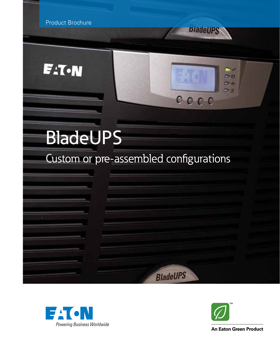

**F:T.N** 







**BladeUPS** 

**Sign** 马台 D-6- $\Box$   $N$ 

**An Eaton Green Product**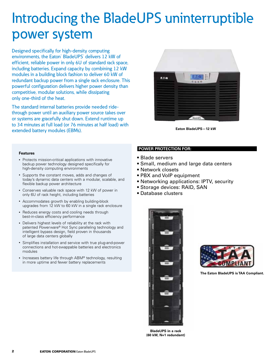## Introducing the BladeUPS uninterruptible power system

Designed specifically for high-density computing environments, the Eaton<sup>®</sup> BladeUPS<sup>®</sup> delivers 12 kW of efficient, reliable power in only 6U of standard rack space, including batteries. Expand capacity by combining 12 kW modules in a building block fashion to deliver 60 kW of redundant backup power from a single rack enclosure. This powerful configuration delivers higher power density than competitive, modular solutions, while dissipating only one-third of the heat.

The standard internal batteries provide needed ridethrough power until an auxiliary power source takes over or systems are gracefully shut down. Extend runtime up to 34 minutes at full load (or 76 minutes at half load) with extended battery modules (EBMs).



**Eaton BladeUPS—12 kW**

### **Features**

- Protects mission-critical applications with innovative backup power technology designed specifically for high-density computing environments
- • Supports the constant moves, adds and changes of today's dynamic data centers with a modular, scalable, and flexible backup power architecture
- • Conserves valuable rack space with 12 kW of power in only 6U of rack height, including batteries
- • Accommodates growth by enabling building-block upgrades from 12 kW to 60 kW in a single rack enclosure
- Reduces energy costs and cooling needs through best-in-class efficiency performance
- • Delivers highest levels of reliability at the rack with patented Powerware® Hot Sync paralleling technology and intelligent bypass design, field proven in thousands of large data centers globally
- • Simplifies installation and service with true plug-and-power connections and hot-swappable batteries and electronics modules
- Increases battery life through ABM® technology, resulting in more uptime and fewer battery replacements

## **Power protection for:**

- Blade servers
- Small, medium and large data centers
- Network closets
- PBX and VoIP equipment
- Networking applications: IPTV, security
- Storage devices: RAID, SAN
- Database clusters



**The Eaton BladeUPS is TAA Compliant.** 

**BladeUPS in a rack (60 kW, N+1 redundant)**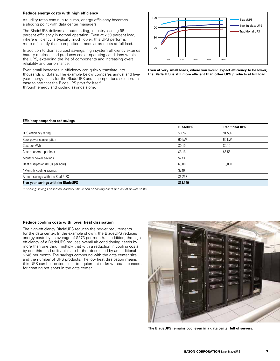## **Reduce energy costs with high efficiency**

As utility rates continue to climb, energy efficiency becomes a sticking point with data center managers.

The BladeUPS delivers an outstanding, industry-leading 98 percent efficiency in normal operation. Even at <50 percent load, where efficiency is typically much lower, this UPS performs more efficiently than competitors' modular products at full load.

In addition to dramatic cost savings, high system efficiency extends battery runtimes and produces cooler operating conditions within the UPS, extending the life of components and increasing overall reliability and performance.

Even small increases in efficiency can quickly translate into thousands of dollars. The example below compares annual and fiveyear energy costs for the BladeUPS and a competitor's solution. It's easy to see that the BladeUPS pays for itself through energy and cooling savings alone.



**Even at very small loads, where you would expect efficiency to be lower, the BladeUPS is still more efficient than other UPS products at full load.**

## **Efficiency comparison and savings**

|                                     | <b>BladeUPS</b> | <b>Traditional UPS</b> |
|-------------------------------------|-----------------|------------------------|
| UPS efficiency rating               | $>98\%$         | 91.5%                  |
| Rack power consumption              | 60 kW           | 60 kW                  |
| Cost per kWh                        | \$0.10          | \$0.10                 |
| Cost to operate per hour            | \$6.18          | \$6.56                 |
| Monthly power savings               | \$273           |                        |
| Heat dissipation (BTUs per hour)    | 6,300           | 19,000                 |
| *Monthly cooling savings            | \$246           |                        |
| Annual savings with the BladeUPS    | \$6,238         |                        |
| Five-year savings with the BladeUPS | \$31,190        |                        |

*\* Cooling savings based on industry calculation of cooling costs per kW of power costs.*

#### **Reduce cooling costs with lower heat dissipation**

The high-efficiency BladeUPS reduces the power requirements for the data center. In the example shown, the BladeUPS reduces energy costs by an average of \$273 per month. In addition, the high efficiency of a BladeUPS reduces overall air conditioning needs by more than one third; multiply that with a reduction in cooling costs by one-third and utility bills are further decreased by an additional \$246 per month. The savings compound with the data center size and the number of UPS products. The low heat dissipation means this UPS can be located close to equipment racks without a concern for creating hot spots in the data center.



**The BladeUPS remains cool even in a data center full of servers.**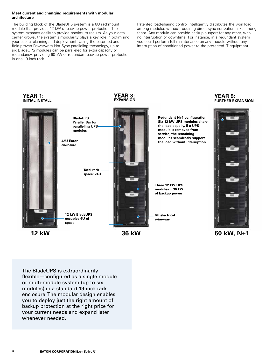### **Meet current and changing requirements with modular architecture**

The building block of the BladeUPS system is a 6U rackmount module that provides 12 kW of backup power protection. The system expands easily to provide maximum results. As your data center grows, the system's modularity plays a key role in optimizing your capital planning and deployment. Using the patented and field-proven Powerware Hot Sync paralleling technology, up to six BladeUPS modules can be paralleled for extra capacity or redundancy, providing 60 kW of redundant backup power protection in one 19-inch rack.

Patented load-sharing control intelligently distributes the workload among modules without requiring direct synchronization links among them. Any module can provide backup support for any other, with no interruption or downtime. For instance, in a redundant system you could perform full maintenance on any module without any interruption of conditioned power to the protected IT equipment.



The BladeUPS is extraordinarily flexible—configured as a single module or multi-module system (up to six modules) in a standard 19-inch rack enclosure. The modular design enables you to deploy just the right amount of backup protection at the right price for your current needs and expand later whenever needed.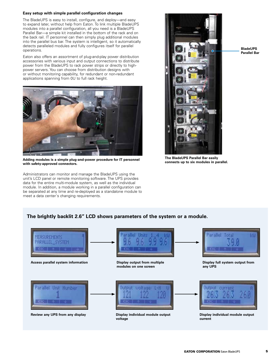## **Easy setup with simple parallel configuration changes**

The BladeUPS is easy to install, configure, and deploy—and easy to expand later, without help from Eaton. To link multiple BladeUPS modules into a parallel configuration, all you need is a BladeUPS Parallel Bar—a simple kit installed in the bottom of the rack and on the back rail. IT personnel can then simply plug additional modules into the parallel bus bar. The system is intelligent, so it automatically detects paralleled modules and fully configures itself for parallel operations.

Eaton also offers an assortment of plug-and-play power distribution accessories with various input and output connections to distribute power from the BladeUPS to rack power strips or directly to highpower servers. You can choose from distribution designs with or without monitoring capability, for redundant or non-redundant applications spanning from 0U to full rack height.



Adding modules is a simple plug-and-power procedure for IT personnel **Adding modules in parallel.**<br>With safety-annroved connectors **with safety-approved connectors.**

Administrators can monitor and manage the BladeUPS using the unit's LCD panel or remote monitoring software. The UPS provides data for the entire multi-module system, as well as the individual module. In addition, a module working in a parallel configuration can be separated at any time and re-deployed as a standalone module to meet a data center's changing requirements.



**BladeUPS Parallel Bar**

**The BladeUPS Parallel Bar easily** 

## **The brightly backlit 2.6" LCD shows parameters of the system or a module.**

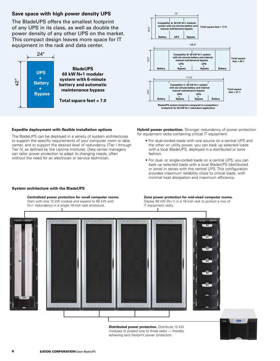## **Save space with high power density UPS**

The BladeUPS offers the smallest footprint of any UPS in its class, as well as double the power density of any other UPS on the market. This compact design leaves more space for IT equipment in the rack and data center.





### **Expedite deployment with flexible installation options**

The BladeUPS can be deployed in a variety of system architectures **Competitor A: 60 kW N+1 modular** to support the specific requirements of your computer room or data<br>canter and to support the desired laugh of redundancy (Tian) through center, and to support the desired level of redundancy (Tier I through the other than the other square *feet* is  $\frac{1}{2}$ . center, and to support the desired level of redundancy (Tier I throl<br>Tier IV, as defined by the Uptime Institute). Data center managers can tailor power protection to adapt to changing needs, often without the need for an electrician or service technician.

**Hybrid power protection.** Stronger redundancy of power protection for equipment racks containing critical IT equipment.

- For dual-corded loads with one source on a central UPS and the other on utility power, you can back up selected loads with a local BladeUPS, deployed in a distributed or zone fashion.
- For dual- or single-corded loads on a central UPS, you can back up selected loads with a local BladeUPS (distributed or zone) in series with the central UPS. This configuration provides maximum reliability close to critical loads, with minimal heat dissipation and maximum efficiency.

#### **System architecture with the BladeUPS**

## Centralized power protection for small computer rooms.

Start with one 12 kW module and expand to 60 kW with **manual maintenance bypass** N+1 redundancy in a single 19-inch rack enclosure.

#### **Zone power protection for mid-sized computer rooms.**

**zone power protection for mid-sized computer room**<br>Deploy 60 kW (N+1) in a 19-inch rack to protect a row of IT equipment racks. *f a***<sub>1</sub> <b>***a*<sub>1</sub> *a*<sub>1</sub> *a*<sub>1</sub> *a*<sub>1</sub> *a*<sub>1</sub> *a*<sub>1</sub> *a*<sub>1</sub> *a*<sub>1</sub>



**Distributed power protection.** Distribute 12 kW modules to protect one to three racks — thereby achieving zero footprint power protection.

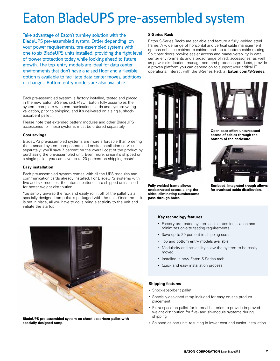## Eaton BladeUPS pre-assembled system

Take advantage of Eaton's turnkey solution with the BladeUPS pre-assembled system. Order depending on your power requirements, pre-assembled systems with one to six BladeUPS units installed, providing the right level of power protection today while looking ahead to future growth. The top-entry models are ideal for data center environments that don't have a raised floor and a flexible option is available to facilitate data center moves, additions or changes. Bottom entry models are also available.

Each pre-assembled system is factory installed, tested and placed in the new Eaton S-Series rack (42U). Eaton fully assembles the system, complete with communications cards and system wiring validation, prior to shipping, and it's delivered on a single, shockabsorbent pallet.

Please note that extended battery modules and other BladeUPS accessories for these systems must be ordered separately.

## **Cost savings**

BladeUPS pre-assembled systems are more affordable than ordering the standard system components and onsite installation service separately; you'll save 7 percent on the overall cost of the product by purchasing the pre-assembled unit. Even more, since it's shipped on a single pallet, you can save up to 20 percent on shipping costs!

## **Easy installation**

Each pre-assembled system comes with all the UPS modules and communication cards already installed. For BladeUPS systems with five and six modules, the internal batteries are shipped uninstalled for better weight distribution.

You simply unwrap the rack and easily roll it off of the pallet via a specially designed ramp that's packaged with the unit. Once the rack is set in place, all you have to do is bring electricity to the unit and initiate the startup.



**BladeUPS pre-assembled system on shock-absorbent pallet with specially-designed ramp.**

## **S-Series Rack**

Eaton S-Series Racks are scalable and feature a fully welded steel frame. A wide range of horizontal and vertical cable management options enhance cabinet-to-cabinet and top-to-bottom cable routing. Split rear doors provide easier access and maneuverability in data center environments and a broad range of rack accessories, as well as power distribution, management and protection products, provide a proven platform you can depend on to support your critical IT operations. Interact with the S-Series Rack at **Eaton.com/S-Series.**



**Fully welded frame allows unobstructed access along the sides, eliminating cumbersome pass-through holes.**

**Key technology features**



**Open base offers unsurpassed access of cables through the bottom of the enclosure.**



**Enclosed, integrated trough allows for overhead cable distribution.**

## • Factory pre-tested system accelerates installation and minimizes on-site testing requirements • Save up to 20 percent in shipping costs

- Top and bottom entry models available
- Modularity and scalability allow the system to be easily moved
- Installed in new Eaton S-Series rack
- • Quick and easy installation process

## **Shipping features**

- Shock-absorbent pallet
- Specially-designed ramp included for easy on-site product placement
- Extra space on pallet for internal batteries to provide improved weight distribution for five- and six-module systems during shipping
- Shipped as one unit, resulting in lower cost and easier installation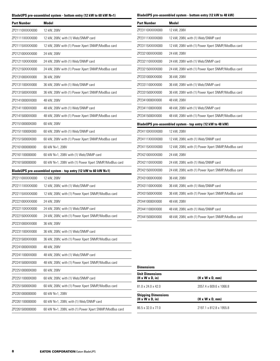## **BladeUPS pre-assembled system - bottom entry (12 kW to 60 kW N+1)**

| <b>Part Number</b> | Model                                                          | <b>Part Number</b>                          | Model                                                      |
|--------------------|----------------------------------------------------------------|---------------------------------------------|------------------------------------------------------------|
| ZP21110XXXXX000    | 12 kW, 208V                                                    | ZP23110XXXXX000                             | 12 kW, 208V                                                |
| ZP21111XXXXX000    | 12 kW, 208V, with (1) Web/SNMP card                            | ZP23111XXXXX000                             | 12 kW, 208V, with (1) Web/SNMP card                        |
| ZP21115XXXXX000    | 12 kW, 208V with (1) Power Xpert SNMP/ModBus card              | ZP23115XXXXX000                             | 12 kW, 208V with (1) Power Xpert SNMP/ModBus card          |
| ZP212100XXXX000    | 24 kW, 208V                                                    | ZP232100XXXX000                             | 24 kW, 208V                                                |
| ZP212110XXXX000    | 24 kW, 208V with (1) Web/SNMP card                             | ZP232110XXXX000                             | 24 kW, 208V with (1) Web/SNMP card                         |
| ZP212150XXXX000    | 24 kW, 208V with (1) Power Xpert SNMP/ModBus card              | ZP232150XXXX000                             | 24 kW, 208V with (1) Power Xpert SNMP/ModBus card          |
| ZP2131000XXX000    | 36 kW, 208V                                                    | ZP2331000XXX000                             | 36 kW, 208V                                                |
| ZP2131100XXX000    | 36 kW, 208V with (1) Web/SNMP card                             | ZP2331100XXX000                             | 36 kW, 208V with (1) Web/SNMP card                         |
| ZP2131500XXX000    | 36 kW, 208V with (1) Power Xpert SNMP/ModBus card              | ZP2331500XXX000                             | 36 kW, 208V with (1) Power Xpert SNMP/ModBus card          |
| ZP21410000XX000    | 48 kW, 208V                                                    | ZP23410000XX000                             | 48 kW, 208V                                                |
| ZP21411000XX000    | 48 kW, 208V with (1) Web/SNMP card                             | ZP23411000XX000                             | 48 kW, 208V with (1) Web/SNMP card                         |
| ZP21415000XX000    | 48 kW, 208V with (1) Power Xpert SNMP/ModBus card              | ZP23415000XX000                             | 48 kW, 208V with (1) Power Xpert SNMP/ModBus card          |
| ZP215100000X000    | 60 kW, 208V                                                    |                                             | BladeUPS pre-assembled system - top entry (12 kW to 48 kW) |
| ZP215110000X000    | 60 kW, 208V with (1) Web/SNMP card                             | ZP24110XXXXX000                             | 12 kW, 208V                                                |
| ZP215150000X000    | 60 kW, 208V with (1) Power Xpert SNMP/ModBus card              | ZP24111XXXXX000                             | 12 kW, 208V, with (1) Web/SNMP card                        |
| ZP2161000000000    | 60 kW N+1, 208V                                                | ZP24115XXXXX000                             | 12 kW, 208V, with (1) Power Xpert SNMP/ModBus card         |
| ZP2161100000000    | 60 kW N+1, 208V with (1) Web/SNMP card                         | ZP242100XXXX000                             | 24 kW, 208V                                                |
| ZP2161500000000    | 60 kW N+1, 208V with (1) Power Xpert SNMP/ModBus card          | ZP242110XXXX000                             | 24 kW, 208V, with (1) Web/SNMP card                        |
|                    | BladeUPS pre-assembled system - top entry (12 kW to 60 kW N+1) | ZP242150XXXX000                             | 24 kW, 208V, with (1) Power Xpert SNMP/ModBus card         |
| ZP22110XXXXX000    | 12 kW, 208V                                                    | ZP2431000XXX000                             | 36 kW, 208V                                                |
| ZP22111XXXXX000    | 12 kW, 208V, with (1) Web/SNMP card                            | ZP2431100XXX000                             | 36 kW, 208V, with (1) Web/SNMP card                        |
| ZP22115XXXXX000    | 12 kW, 208V, with (1) Power Xpert SNMP/ModBus card             | ZP2431500XXX000                             | 36 kW, 208V, with (1) Power Xpert SNMP/ModBus card         |
| ZP222100XXXX000    | 24 kW, 208V                                                    | ZP24410000XX000                             | 48 kW, 208V                                                |
| ZP222110XXXX000    | 24 kW, 208V, with (1) Web/SNMP card                            | ZP24411000XX000                             | 48 kW, 208V, with (1) Web/SNMP card                        |
| ZP222150XXXX000    | 24 kW, 208V, with (1) Power Xpert SNMP/ModBus card             | ZP24415000XX000                             | 48 kW, 208V, with (1) Power Xpert SNMP/ModBus card         |
| ZP2231000XXX000    | 36 kW, 208V                                                    |                                             |                                                            |
| ZP2231100XXX000    | 36 kW, 208V, with (1) Web/SNMP card                            |                                             |                                                            |
| ZP2231500XXX000    | 36 kW, 208V, with (1) Power Xpert SNMP/ModBus card             |                                             |                                                            |
| ZP22410000XX000    | 48 kW, 208V                                                    |                                             |                                                            |
| ZP22411000XX000    | 48 kW, 208V, with (1) Web/SNMP card                            |                                             |                                                            |
| ZP22415000XX000    | 48 kW, 208V, with (1) Power Xpert SNMP/ModBus card             |                                             |                                                            |
| ZP225100000X000    | 60 kW, 208V                                                    | <b>Dimensions</b><br><b>Unit Dimensions</b> |                                                            |
| ZP225110000X000    | 60 kW, 208V, with (1) Web/SNMP card                            | (H x W x D, in)                             | $(H \times W \times D, mm)$                                |
| ZP225150000X000    | 60 kW, 208V, with (1) Power Xpert SNMP/ModBus card             | 81.0 x 24.0 x 42.0                          | 2057.4 x 609.6 x 1066.8                                    |
| ZP2261000000000    | 60 kW N+1, 208V                                                | <b>Shipping Dimensions</b>                  |                                                            |
| ZP2261100000000    | 60 kW N+1, 208V, with (1) Web/SNMP card                        | $(H \times W \times D, in)$                 | $(H \times W \times D, mm)$                                |
| ZP2261500000000    | 60 kW N+1, 208V, with (1) Power Xpert SNMP/ModBus card         | 86.5 x 32.0 x 77.0                          | 2197.1 x 812.8 x 1955.8                                    |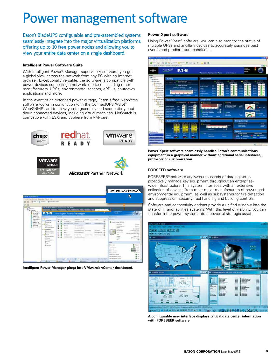## Power management software

Eaton's BladeUPS configurable and pre-assembled systems seamlessly integrate into the major virtualization platforms, offering up to 10 free power nodes and allowing you to view your entire data center on a single dashboard.

## **Intelligent Power Software Suite**

With Intelligent Power® Manager supervisory software, you get a global view across the network from any PC with an Internet browser. Exceptionally versatile, the software is compatible with power devices supporting a network interface, including other manufacturers' UPSs, environmental sensors, ePDUs, shutdown applications and more.

In the event of an extended power outage, Eaton's free NetWatch software works in conjunction with the ConnectUPS X-Slot® Web/SNMP card to allow you to gracefully and sequentially shut down connected devices, including virtual machines. NetWatch is compatible with ESXi and vSphere from VMware.





**Intelligent Power Manager plugs into VMware's vCenter dashboard.**

## **Power Xpert software**

Using Power Xpert® software, you can also monitor the status of multiple UPSs and ancillary devices to accurately diagnose past events and predict future conditions.



**Power Xpert software seamlessly handles Eaton's communications equipment in a graphical manner without additional serial interfaces, protocols or customization.**

## **Forseer software**

FORESEER® software analyzes thousands of data points to proactively manage key equipment throughout an enterprisewide infrastructure. This system interfaces with an extensive collection of devices from most major manufacturers of power and environmental equipment, as well as subsystems for fire detection and suppression, security, fuel handling and building controls.

Software and connectivity options provide a unified window into the state of IT and facilities systems. With this level of visibility, you can transform the power system into a powerful strategic asset.



**A configurable user interface displays critical data center information with FORESEER software.**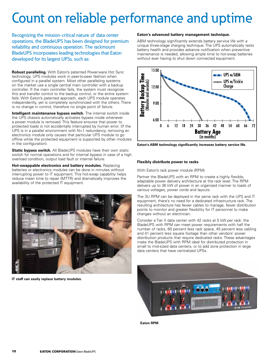# Count on reliable performance and uptime

Recognizing the mission-critical nature of data center operations, the BladeUPS has been designed for premium reliability and continuous operation. The rackmount BladeUPS incorporates leading technologies that Eaton developed for its largest UPSs, such as:

**Robust paralleling.** With Eaton's patented Powerware Hot Sync technology, UPS modules work in peer-to-peer fashion when configured in a parallel system. Most other paralleling systems on the market use a single central main controller with a backup controller. If the main controller fails, the system must recognize this and transfer control to the backup control, or the entire system fails. With Eaton's patented approach, each UPS module operates independently, yet is completely synchronized with the others. There is no change in control, therefore no single point of failure.

**Intelligent maintenance bypass switch.** The internal switch inside the UPS chassis automatically activates bypass mode whenever a power module is removed. This feature ensures that power to protected loads is not accidentally interrupted by human error. (If the UPS is in a parallel environment with N+1 redundancy, removing an electronics module only causes that particular UPS module to go offline while the protected equipment is supported by other modules in the configuration).

**Static bypass switch.** All BladeUPS modules have their own static switch for normal operations and for internal bypass in case of a high overload condition, output load fault or internal failure.

**Hot-swappable electronics and battery modules.** Replacing batteries or electronics modules can be done in minutes without interrupting power to IT equipment. This hot-swap capability helps reduce mean time to repair (MTTR) and dramatically improves the availability of the protected IT equipment.



**IT staff can easily replace battery modules.**

## **Eaton's advanced battery management technique.**

ABM technology significantly extends battery service life with a unique three-stage charging technique. The UPS automatically tests battery health and provides advance notification when preventive maintenance is needed, allowing ample time to hot-swap batteries without ever having to shut down connected equipment.



**Eaton's ABM technology significantly increases battery service life.**

## **Flexibly distribute power to racks**

With Eaton's rack power module (RPM)

Partner the BladeUPS with an RPM to create a highly flexible, adaptable power delivery architecture at the rack level. The RPM delivers up to 36 kW of power in an organized manner to loads of various voltages, power cords and layouts.

The 3U RPM can be deployed in the same rack with the UPS and IT equipment; there's no need for a dedicated infrastructure rack. The resulting architecture has fewer cables to manage, fewer distribution points to monitor and greater flexibility for IT personnel to make changes without an electrician.

Consider a Tier II data center with 42 racks at 5 kW per rack: the BladeUPS with RPM can meet power requirements with half the number of racks, 60 percent less rack space, 45 percent less cabling and 41 percent less square footage than other vendors' power distribution products that require dedicated racks. These advantages make the BladeUPS with RPM ideal for distributed protection in small to mid-sized data centers, or to add zone protection in large data centers that have centralized UPSs.



**Eaton RPM**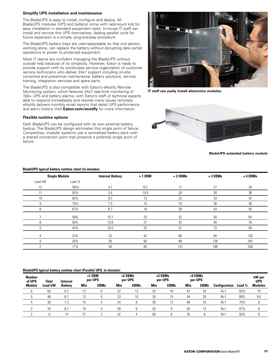## **Simplify UPS installation and maintenance**

The BladeUPS is easy to install, configure and deploy. All BladeUPS modules (UPS and battery) come with rackmount kits for easy installation in standard equipment racks. In-house IT staff can install and service this UPS themselves. Adding parallel units for future expansion is a simple, plug-and-play procedure.

The BladeUPS battery trays are user-replaceable so that one person, working alone, can replace the battery without disrupting data center operations or power to protected equipment.

Most IT teams are confident managing the BladeUPS without outside help because of its simplicity. However, Eaton is ready to provide support with its world-class service organization of customer service technicians who deliver 24x7 support including on-site corrective and preventive maintenance, battery solutions, service training, integration services and spare parts.

The BladeUPS is also compatible with Eaton's eNotify Remote Monitoring system, which features 24x7 real-time monitoring of 100+ UPS and battery alarms, with Eaton's staff of technical experts able to respond immediately and resolve many issues remotely. eNotify delivers monthly email reports that detail UPS performance and alarm history. Visit **Eaton.com/enotify** for more information.

## **Flexible runtime options**

Each BladeUPS can be configured with its own external battery backup. The BladeUPS design eliminates this single point of failure. Competitive, modular systems use a centralized battery bank with a shared connection point that presents a potential single point of failure.



**IT staff can easily install electronics modules.**



**BladeUPS extended battery module**

|         | <b>Single Module</b> | <b>Internal Battery</b> | $+1$ EBM | + 2 EBMs | +3 EBMs | +4 EBMs |
|---------|----------------------|-------------------------|----------|----------|---------|---------|
| Load kW | Load %               |                         |          |          |         |         |
| 12      | 100%                 | 4.7                     | 9.5      | 17       | 27      | 34      |
| 11      | 92%                  | 5.4                     | 10.9     | 20       | 30      | 38      |
| 10      | 83%                  | 6.2                     | 13       | 22       | 33      | 42      |
|         | 75%                  | 7.3                     | 15       | 24       | 38      | 48      |
| 8       | 67%                  | 8.7                     | 18       | 28       | 43      | 55      |
|         | 58%                  | 10.7                    | 23       | 32       | 50      | 64      |
|         | 50%                  | 13.6                    | 27       | 42       | 60      | 76      |
| 5       | 42%                  | 18.5                    | 33       | 51       | 73      | 94      |
| 4       | 33%                  | 23                      | 42       | 66       | 94      | 120     |
|         | 25%                  | 30                      | 56       | 89       | 128     | 165     |
|         | 17%                  | 44                      | 85       | 137      | 199     | 258     |

### **BladeUPS typical battery runtime chart (in minutes)**

#### **BladeUPS typical battery runtime chart (Parallel UPS, in minutes)**

|                         | . .            |                 |     |                   |     |                    |     |                    |     |                    |               |        |                      |
|-------------------------|----------------|-----------------|-----|-------------------|-----|--------------------|-----|--------------------|-----|--------------------|---------------|--------|----------------------|
| <b>Number</b><br>of UPS | <b>Total</b>   | <b>Internal</b> |     | +1 EBM<br>per UPS |     | +2 EBMs<br>per UPS |     | +3 EBMs<br>per UPS |     | +4 EBMs<br>per UPS |               |        | kW per<br><b>UPS</b> |
| Models                  | <b>Load kW</b> | <b>Battery</b>  | Min | <b>EBMs</b>       | Min | <b>EBMs</b>        | Min | <b>EBMs</b>        | Min | <b>EBMs</b>        | Configuration | Load % | <b>Modules</b>       |
| 6                       | 60             | 6.2             | IJ  |                   | 22  | $1 \Omega$         | 33  | 18                 | 42  | 24                 | $N+1$         | 83%    | 10                   |
|                         | 48             | 6.7             |     |                   | 23  | 10                 | 35  | 15                 | 44  | 20                 | $N+1$         | 80%    | 9.6                  |
|                         | 36             | 7.3             | 15  |                   | 24  | 8                  | 38  | 12                 | 48  | 16                 | $N+1$         | 75%    | 9                    |
| ∩                       | 24             | 8.7             | 18  |                   | 28  | հ                  | 43  | a                  | 55  | 12                 | $N+1$         | 67%    |                      |
|                         | 17             | 14              | 27  |                   | 42  |                    | 60  | h                  | 76  | 8                  | $N_{+}$       | 50%    | $\sim$               |